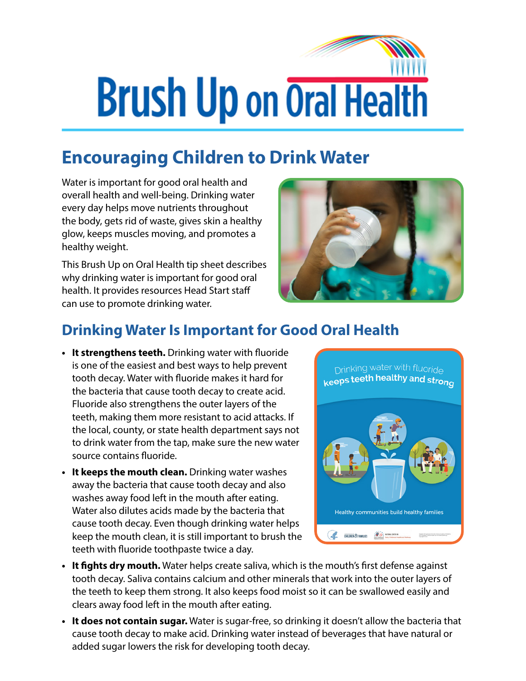## **Brush Up on Oral Health**

## **Encouraging Children to Drink Water**

Water is important for good oral health and overall health and well-being. Drinking water every day helps move nutrients throughout the body, gets rid of waste, gives skin a healthy glow, keeps muscles moving, and promotes a healthy weight.

This Brush Up on Oral Health tip sheet describes why drinking water is important for good oral health. It provides resources Head Start staff can use to promote drinking water.



## **Drinking Water Is Important for Good Oral Health**

- **• It strengthens teeth.** Drinking water with fluoride is one of the easiest and best ways to help prevent tooth decay. Water with fluoride makes it hard for the bacteria that cause tooth decay to create acid. Fluoride also strengthens the outer layers of the teeth, making them more resistant to acid attacks. If the local, county, or state health department says not to drink water from the tap, make sure the new water source contains fluoride.
- **• It keeps the mouth clean.** Drinking water washes away the bacteria that cause tooth decay and also washes away food left in the mouth after eating. Water also dilutes acids made by the bacteria that cause tooth decay. Even though drinking water helps keep the mouth clean, it is still important to brush the teeth with fluoride toothpaste twice a day.



- **• It fights dry mouth.** Water helps create saliva, which is the mouth's first defense against tooth decay. Saliva contains calcium and other minerals that work into the outer layers of the teeth to keep them strong. It also keeps food moist so it can be swallowed easily and clears away food left in the mouth after eating.
- **• It does not contain sugar.** Water is sugar-free, so drinking it doesn't allow the bacteria that cause tooth decay to make acid. Drinking water instead of beverages that have natural or added sugar lowers the risk for developing tooth decay.